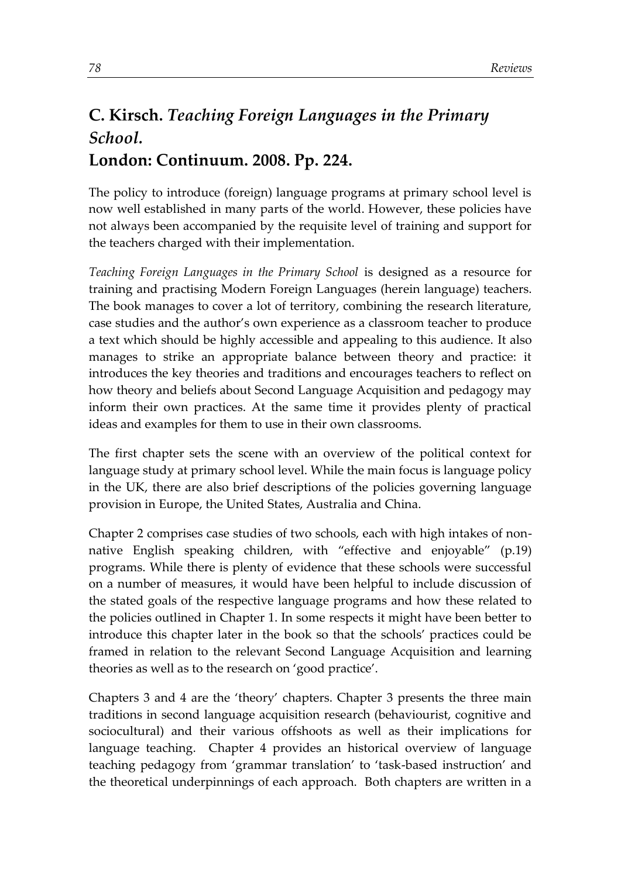## **C. Kirsch.** *Teaching Foreign Languages in the Primary School.* **London: Continuum. 2008. Pp. 224.**

The policy to introduce (foreign) language programs at primary school level is now well established in many parts of the world. However, these policies have not always been accompanied by the requisite level of training and support for the teachers charged with their implementation.

*Teaching Foreign Languages in the Primary School* is designed as a resource for training and practising Modern Foreign Languages (herein language) teachers. The book manages to cover a lot of territory, combining the research literature, case studies and the author's own experience as a classroom teacher to produce a text which should be highly accessible and appealing to this audience. It also manages to strike an appropriate balance between theory and practice: it introduces the key theories and traditions and encourages teachers to reflect on how theory and beliefs about Second Language Acquisition and pedagogy may inform their own practices. At the same time it provides plenty of practical ideas and examples for them to use in their own classrooms.

The first chapter sets the scene with an overview of the political context for language study at primary school level. While the main focus is language policy in the UK, there are also brief descriptions of the policies governing language provision in Europe, the United States, Australia and China.

Chapter 2 comprises case studies of two schools, each with high intakes of nonnative English speaking children, with "effective and enjoyable" (p.19) programs. While there is plenty of evidence that these schools were successful on a number of measures, it would have been helpful to include discussion of the stated goals of the respective language programs and how these related to the policies outlined in Chapter 1. In some respects it might have been better to introduce this chapter later in the book so that the schools' practices could be framed in relation to the relevant Second Language Acquisition and learning theories as well as to the research on 'good practice'.

Chapters 3 and 4 are the 'theory' chapters. Chapter 3 presents the three main traditions in second language acquisition research (behaviourist, cognitive and sociocultural) and their various offshoots as well as their implications for language teaching. Chapter 4 provides an historical overview of language teaching pedagogy from 'grammar translation' to 'task-based instruction' and the theoretical underpinnings of each approach. Both chapters are written in a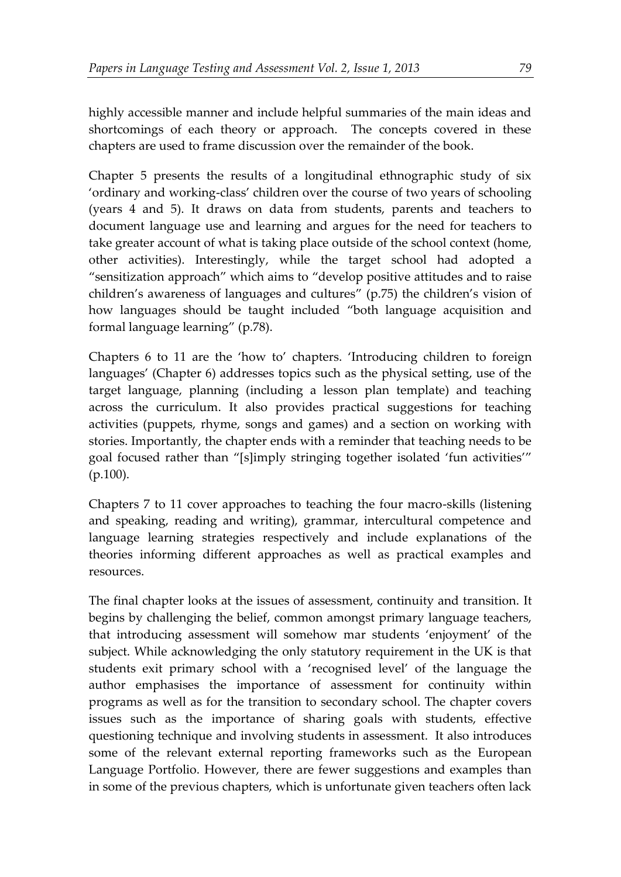highly accessible manner and include helpful summaries of the main ideas and shortcomings of each theory or approach. The concepts covered in these chapters are used to frame discussion over the remainder of the book.

Chapter 5 presents the results of a longitudinal ethnographic study of six 'ordinary and working-class' children over the course of two years of schooling (years 4 and 5). It draws on data from students, parents and teachers to document language use and learning and argues for the need for teachers to take greater account of what is taking place outside of the school context (home, other activities). Interestingly, while the target school had adopted a "sensitization approach" which aims to "develop positive attitudes and to raise children's awareness of languages and cultures" (p.75) the children's vision of how languages should be taught included "both language acquisition and formal language learning" (p.78).

Chapters 6 to 11 are the 'how to' chapters. 'Introducing children to foreign languages' (Chapter 6) addresses topics such as the physical setting, use of the target language, planning (including a lesson plan template) and teaching across the curriculum. It also provides practical suggestions for teaching activities (puppets, rhyme, songs and games) and a section on working with stories. Importantly, the chapter ends with a reminder that teaching needs to be goal focused rather than "[s]imply stringing together isolated 'fun activities'" (p.100).

Chapters 7 to 11 cover approaches to teaching the four macro-skills (listening and speaking, reading and writing), grammar, intercultural competence and language learning strategies respectively and include explanations of the theories informing different approaches as well as practical examples and resources.

The final chapter looks at the issues of assessment, continuity and transition. It begins by challenging the belief, common amongst primary language teachers, that introducing assessment will somehow mar students 'enjoyment' of the subject. While acknowledging the only statutory requirement in the UK is that students exit primary school with a 'recognised level' of the language the author emphasises the importance of assessment for continuity within programs as well as for the transition to secondary school. The chapter covers issues such as the importance of sharing goals with students, effective questioning technique and involving students in assessment. It also introduces some of the relevant external reporting frameworks such as the European Language Portfolio. However, there are fewer suggestions and examples than in some of the previous chapters, which is unfortunate given teachers often lack